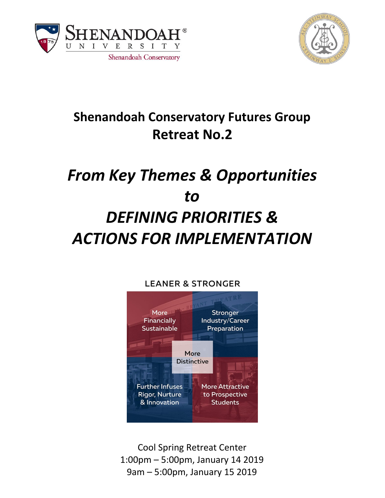



## **Shenandoah Conservatory Futures Group Retreat No.2**

# *From Key Themes & Opportunities to DEFINING PRIORITIES & ACTIONS FOR IMPLEMENTATION*



Cool Spring Retreat Center 1:00pm – 5:00pm, January 14 2019 9am – 5:00pm, January 15 2019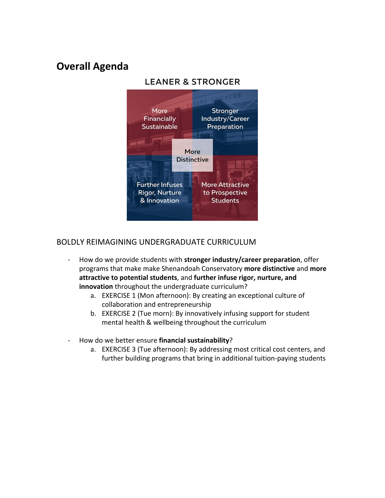## **Overall Agenda**

#### **LEANER & STRONGER**



#### BOLDLY REIMAGINING UNDERGRADUATE CURRICULUM

- How do we provide students with **stronger industry/career preparation**, offer programs that make make Shenandoah Conservatory **more distinctive** and **more attractive to potential students**, and **further infuse rigor, nurture, and innovation** throughout the undergraduate curriculum?
	- a. EXERCISE 1 (Mon afternoon): By creating an exceptional culture of collaboration and entrepreneurship
	- b. EXERCISE 2 (Tue morn): By innovatively infusing support for student mental health & wellbeing throughout the curriculum
- How do we better ensure **financial sustainability**?
	- a. EXERCISE 3 (Tue afternoon): By addressing most critical cost centers, and further building programs that bring in additional tuition-paying students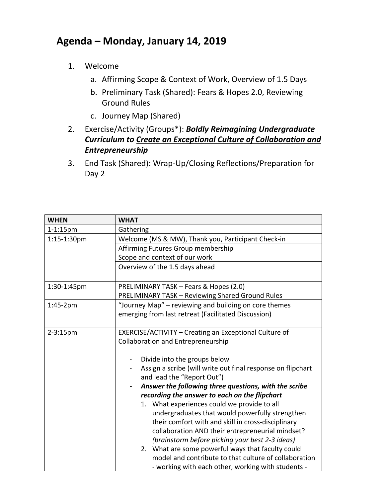## **Agenda – Monday, January 14, 2019**

- 1. Welcome
	- a. Affirming Scope & Context of Work, Overview of 1.5 Days
	- b. Preliminary Task (Shared): Fears & Hopes 2.0, Reviewing Ground Rules
	- c. Journey Map (Shared)
- 2. Exercise/Activity (Groups\*): *Boldly Reimagining Undergraduate Curriculum to Create an Exceptional Culture of Collaboration and Entrepreneurship*
- 3. End Task (Shared): Wrap-Up/Closing Reflections/Preparation for Day 2

| <b>WHEN</b>   | <b>WHAT</b>                                                 |
|---------------|-------------------------------------------------------------|
| $1 - 1:15$ pm | Gathering                                                   |
| 1:15-1:30pm   | Welcome (MS & MW), Thank you, Participant Check-in          |
|               | Affirming Futures Group membership                          |
|               | Scope and context of our work                               |
|               | Overview of the 1.5 days ahead                              |
|               |                                                             |
| 1:30-1:45pm   | PRELIMINARY TASK - Fears & Hopes (2.0)                      |
|               | PRELIMINARY TASK - Reviewing Shared Ground Rules            |
| 1:45-2pm      | "Journey Map" - reviewing and building on core themes       |
|               | emerging from last retreat (Facilitated Discussion)         |
|               |                                                             |
| $2 - 3:15$ pm | EXERCISE/ACTIVITY - Creating an Exceptional Culture of      |
|               | <b>Collaboration and Entrepreneurship</b>                   |
|               |                                                             |
|               | Divide into the groups below                                |
|               | Assign a scribe (will write out final response on flipchart |
|               | and lead the "Report Out")                                  |
|               | Answer the following three questions, with the scribe       |
|               | recording the answer to each on the flipchart               |
|               | 1. What experiences could we provide to all                 |
|               | undergraduates that would powerfully strengthen             |
|               | their comfort with and skill in cross-disciplinary          |
|               | collaboration AND their entrepreneurial mindset?            |
|               | (brainstorm before picking your best 2-3 ideas)             |
|               | 2. What are some powerful ways that faculty could           |
|               | model and contribute to that culture of collaboration       |
|               | - working with each other, working with students -          |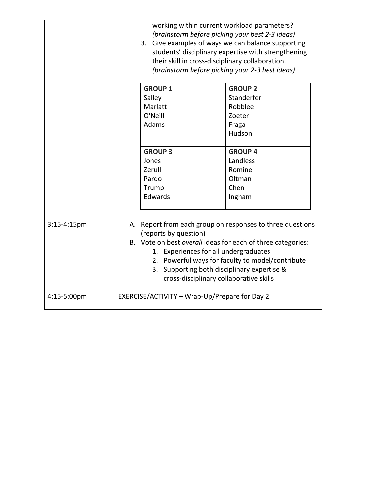|             | working within current workload parameters?<br>(brainstorm before picking your best 2-3 ideas)<br>3. Give examples of ways we can balance supporting<br>students' disciplinary expertise with strengthening<br>their skill in cross-disciplinary collaboration.<br>(brainstorm before picking your 2-3 best ideas) |                                               |                                                             |
|-------------|--------------------------------------------------------------------------------------------------------------------------------------------------------------------------------------------------------------------------------------------------------------------------------------------------------------------|-----------------------------------------------|-------------------------------------------------------------|
|             | <b>GROUP 1</b>                                                                                                                                                                                                                                                                                                     |                                               | <b>GROUP 2</b>                                              |
|             | Salley                                                                                                                                                                                                                                                                                                             |                                               | Standerfer                                                  |
|             | Marlatt                                                                                                                                                                                                                                                                                                            |                                               | Robblee                                                     |
|             | O'Neill                                                                                                                                                                                                                                                                                                            |                                               | Zoeter                                                      |
|             | Adams                                                                                                                                                                                                                                                                                                              |                                               | Fraga                                                       |
|             |                                                                                                                                                                                                                                                                                                                    |                                               | Hudson                                                      |
|             | <b>GROUP 3</b>                                                                                                                                                                                                                                                                                                     |                                               | <b>GROUP 4</b>                                              |
|             | Jones                                                                                                                                                                                                                                                                                                              |                                               | Landless                                                    |
|             | Zerull                                                                                                                                                                                                                                                                                                             |                                               | Romine                                                      |
|             | Pardo                                                                                                                                                                                                                                                                                                              |                                               | Oltman                                                      |
|             | Trump                                                                                                                                                                                                                                                                                                              |                                               | Chen                                                        |
|             | Edwards                                                                                                                                                                                                                                                                                                            |                                               | Ingham                                                      |
|             |                                                                                                                                                                                                                                                                                                                    |                                               |                                                             |
| 3:15-4:15pm |                                                                                                                                                                                                                                                                                                                    | (reports by question)                         | A. Report from each group on responses to three questions   |
|             |                                                                                                                                                                                                                                                                                                                    |                                               | B. Vote on best overall ideas for each of three categories: |
|             |                                                                                                                                                                                                                                                                                                                    | 1. Experiences for all undergraduates         |                                                             |
|             |                                                                                                                                                                                                                                                                                                                    |                                               | 2. Powerful ways for faculty to model/contribute            |
|             |                                                                                                                                                                                                                                                                                                                    | cross-disciplinary collaborative skills       | 3. Supporting both disciplinary expertise &                 |
|             |                                                                                                                                                                                                                                                                                                                    |                                               |                                                             |
| 4:15-5:00pm |                                                                                                                                                                                                                                                                                                                    | EXERCISE/ACTIVITY - Wrap-Up/Prepare for Day 2 |                                                             |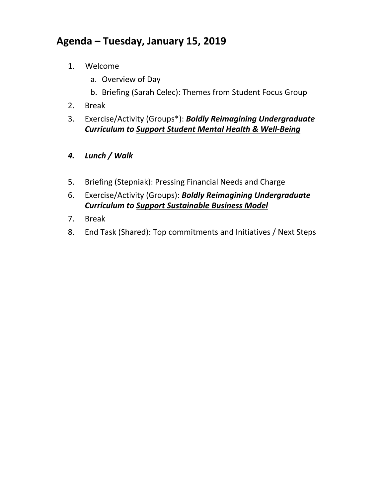## **Agenda – Tuesday, January 15, 2019**

- 1. Welcome
	- a. Overview of Day
	- b. Briefing (Sarah Celec): Themes from Student Focus Group
- 2. Break
- 3. Exercise/Activity (Groups\*): *Boldly Reimagining Undergraduate Curriculum to Support Student Mental Health & Well-Being*
- *4. Lunch / Walk*
- 5. Briefing (Stepniak): Pressing Financial Needs and Charge
- 6. Exercise/Activity (Groups): *Boldly Reimagining Undergraduate Curriculum to Support Sustainable Business Model*
- 7. Break
- 8. End Task (Shared): Top commitments and Initiatives / Next Steps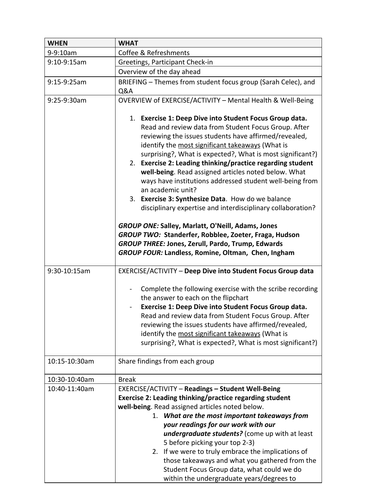| <b>WHEN</b>   | <b>WHAT</b>                                                                                                                                                                                                                                                                                                                                                                                                                                                                                                                                                                                                                                                                                                                                   |  |
|---------------|-----------------------------------------------------------------------------------------------------------------------------------------------------------------------------------------------------------------------------------------------------------------------------------------------------------------------------------------------------------------------------------------------------------------------------------------------------------------------------------------------------------------------------------------------------------------------------------------------------------------------------------------------------------------------------------------------------------------------------------------------|--|
| 9-9:10am      | Coffee & Refreshments                                                                                                                                                                                                                                                                                                                                                                                                                                                                                                                                                                                                                                                                                                                         |  |
| $9:10-9:15am$ | Greetings, Participant Check-in                                                                                                                                                                                                                                                                                                                                                                                                                                                                                                                                                                                                                                                                                                               |  |
|               | Overview of the day ahead                                                                                                                                                                                                                                                                                                                                                                                                                                                                                                                                                                                                                                                                                                                     |  |
| $9:15-9:25am$ | BRIEFING - Themes from student focus group (Sarah Celec), and<br>Q&A                                                                                                                                                                                                                                                                                                                                                                                                                                                                                                                                                                                                                                                                          |  |
| 9:25-9:30am   | OVERVIEW of EXERCISE/ACTIVITY - Mental Health & Well-Being                                                                                                                                                                                                                                                                                                                                                                                                                                                                                                                                                                                                                                                                                    |  |
|               | 1. Exercise 1: Deep Dive into Student Focus Group data.<br>Read and review data from Student Focus Group. After<br>reviewing the issues students have affirmed/revealed,<br>identify the most significant takeaways (What is<br>surprising?, What is expected?, What is most significant?)<br>2. Exercise 2: Leading thinking/practice regarding student<br>well-being. Read assigned articles noted below. What<br>ways have institutions addressed student well-being from<br>an academic unit?<br>Exercise 3: Synthesize Data. How do we balance<br>3.<br>disciplinary expertise and interdisciplinary collaboration?<br><b>GROUP ONE: Salley, Marlatt, O'Neill, Adams, Jones</b><br>GROUP TWO: Standerfer, Robblee, Zoeter, Fraga, Hudson |  |
|               | <b>GROUP THREE: Jones, Zerull, Pardo, Trump, Edwards</b><br>GROUP FOUR: Landless, Romine, Oltman, Chen, Ingham                                                                                                                                                                                                                                                                                                                                                                                                                                                                                                                                                                                                                                |  |
| 9:30-10:15am  | EXERCISE/ACTIVITY - Deep Dive into Student Focus Group data                                                                                                                                                                                                                                                                                                                                                                                                                                                                                                                                                                                                                                                                                   |  |
|               | Complete the following exercise with the scribe recording<br>the answer to each on the flipchart<br>Exercise 1: Deep Dive into Student Focus Group data.<br>Read and review data from Student Focus Group. After<br>reviewing the issues students have affirmed/revealed,<br>identify the most significant takeaways (What is<br>surprising?, What is expected?, What is most significant?)                                                                                                                                                                                                                                                                                                                                                   |  |
| 10:15-10:30am | Share findings from each group                                                                                                                                                                                                                                                                                                                                                                                                                                                                                                                                                                                                                                                                                                                |  |
| 10:30-10:40am | <b>Break</b>                                                                                                                                                                                                                                                                                                                                                                                                                                                                                                                                                                                                                                                                                                                                  |  |
| 10:40-11:40am | EXERCISE/ACTIVITY - Readings - Student Well-Being                                                                                                                                                                                                                                                                                                                                                                                                                                                                                                                                                                                                                                                                                             |  |
|               | Exercise 2: Leading thinking/practice regarding student                                                                                                                                                                                                                                                                                                                                                                                                                                                                                                                                                                                                                                                                                       |  |
|               | well-being. Read assigned articles noted below.                                                                                                                                                                                                                                                                                                                                                                                                                                                                                                                                                                                                                                                                                               |  |
|               | 1. What are the most important takeaways from                                                                                                                                                                                                                                                                                                                                                                                                                                                                                                                                                                                                                                                                                                 |  |
|               | your readings for our work with our                                                                                                                                                                                                                                                                                                                                                                                                                                                                                                                                                                                                                                                                                                           |  |
|               | undergraduate students? (come up with at least                                                                                                                                                                                                                                                                                                                                                                                                                                                                                                                                                                                                                                                                                                |  |
|               | 5 before picking your top 2-3)<br>2. If we were to truly embrace the implications of                                                                                                                                                                                                                                                                                                                                                                                                                                                                                                                                                                                                                                                          |  |
|               | those takeaways and what you gathered from the                                                                                                                                                                                                                                                                                                                                                                                                                                                                                                                                                                                                                                                                                                |  |
|               | Student Focus Group data, what could we do                                                                                                                                                                                                                                                                                                                                                                                                                                                                                                                                                                                                                                                                                                    |  |
|               | within the undergraduate years/degrees to                                                                                                                                                                                                                                                                                                                                                                                                                                                                                                                                                                                                                                                                                                     |  |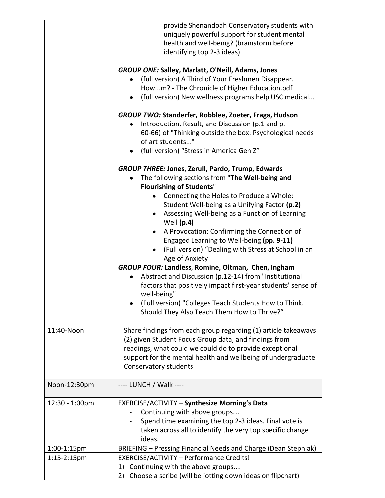|                               | provide Shenandoah Conservatory students with<br>uniquely powerful support for student mental<br>health and well-being? (brainstorm before<br>identifying top 2-3 ideas)                                                                                                                                                                                                                                                                                                                                                                                                                                                                                                                                                                                                                 |
|-------------------------------|------------------------------------------------------------------------------------------------------------------------------------------------------------------------------------------------------------------------------------------------------------------------------------------------------------------------------------------------------------------------------------------------------------------------------------------------------------------------------------------------------------------------------------------------------------------------------------------------------------------------------------------------------------------------------------------------------------------------------------------------------------------------------------------|
|                               | <b>GROUP ONE: Salley, Marlatt, O'Neill, Adams, Jones</b><br>(full version) A Third of Your Freshmen Disappear.<br>Howm? - The Chronicle of Higher Education.pdf<br>(full version) New wellness programs help USC medical                                                                                                                                                                                                                                                                                                                                                                                                                                                                                                                                                                 |
|                               | GROUP TWO: Standerfer, Robblee, Zoeter, Fraga, Hudson<br>Introduction, Result, and Discussion (p.1 and p.<br>60-66) of "Thinking outside the box: Psychological needs<br>of art students"<br>(full version) "Stress in America Gen Z"                                                                                                                                                                                                                                                                                                                                                                                                                                                                                                                                                    |
|                               | <b>GROUP THREE: Jones, Zerull, Pardo, Trump, Edwards</b><br>The following sections from "The Well-being and<br><b>Flourishing of Students"</b><br>Connecting the Holes to Produce a Whole:<br>Student Well-being as a Unifying Factor (p.2)<br>Assessing Well-being as a Function of Learning<br>Well $(p.4)$<br>A Provocation: Confirming the Connection of<br>Engaged Learning to Well-being (pp. 9-11)<br>(Full version) "Dealing with Stress at School in an<br>Age of Anxiety<br>GROUP FOUR: Landless, Romine, Oltman, Chen, Ingham<br>Abstract and Discussion (p.12-14) from "Institutional<br>factors that positively impact first-year students' sense of<br>well-being"<br>(Full version) "Colleges Teach Students How to Think.<br>Should They Also Teach Them How to Thrive?" |
| 11:40-Noon                    | Share findings from each group regarding (1) article takeaways<br>(2) given Student Focus Group data, and findings from<br>readings, what could we could do to provide exceptional<br>support for the mental health and wellbeing of undergraduate<br>Conservatory students                                                                                                                                                                                                                                                                                                                                                                                                                                                                                                              |
| Noon-12:30pm                  | ---- LUNCH / Walk ----                                                                                                                                                                                                                                                                                                                                                                                                                                                                                                                                                                                                                                                                                                                                                                   |
| $12:30 - 1:00$ pm             | EXERCISE/ACTIVITY - Synthesize Morning's Data<br>Continuing with above groups<br>Spend time examining the top 2-3 ideas. Final vote is<br>taken across all to identify the very top specific change<br>ideas.                                                                                                                                                                                                                                                                                                                                                                                                                                                                                                                                                                            |
| 1:00-1:15pm<br>$1:15-2:15$ pm | BRIEFING - Pressing Financial Needs and Charge (Dean Stepniak)<br><b>EXERCISE/ACTIVITY - Performance Credits!</b><br>Continuing with the above groups<br>1)<br>Choose a scribe (will be jotting down ideas on flipchart)<br>2)                                                                                                                                                                                                                                                                                                                                                                                                                                                                                                                                                           |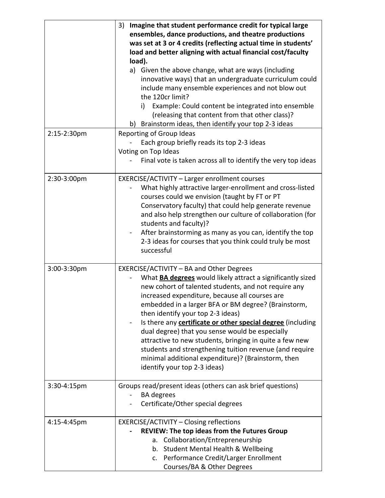|                  | 3) Imagine that student performance credit for typical large<br>ensembles, dance productions, and theatre productions<br>was set at 3 or 4 credits (reflecting actual time in students'<br>load and better aligning with actual financial cost/faculty<br>load).<br>a) Given the above change, what are ways (including<br>innovative ways) that an undergraduate curriculum could<br>include many ensemble experiences and not blow out<br>the 120cr limit?                                                                                                                                                                                      |
|------------------|---------------------------------------------------------------------------------------------------------------------------------------------------------------------------------------------------------------------------------------------------------------------------------------------------------------------------------------------------------------------------------------------------------------------------------------------------------------------------------------------------------------------------------------------------------------------------------------------------------------------------------------------------|
|                  | Example: Could content be integrated into ensemble<br>i)<br>(releasing that content from that other class)?<br>b) Brainstorm ideas, then identify your top 2-3 ideas                                                                                                                                                                                                                                                                                                                                                                                                                                                                              |
| 2:15-2:30pm      | Reporting of Group Ideas<br>Each group briefly reads its top 2-3 ideas<br>Voting on Top Ideas<br>Final vote is taken across all to identify the very top ideas                                                                                                                                                                                                                                                                                                                                                                                                                                                                                    |
| 2:30-3:00pm      | EXERCISE/ACTIVITY - Larger enrollment courses<br>What highly attractive larger-enrollment and cross-listed<br>courses could we envision (taught by FT or PT<br>Conservatory faculty) that could help generate revenue<br>and also help strengthen our culture of collaboration (for<br>students and faculty)?<br>After brainstorming as many as you can, identify the top<br>2-3 ideas for courses that you think could truly be most<br>successful                                                                                                                                                                                               |
| 3:00-3:30pm      | EXERCISE/ACTIVITY - BA and Other Degrees<br>What <b>BA degrees</b> would likely attract a significantly sized<br>new cohort of talented students, and not require any<br>increased expenditure, because all courses are<br>embedded in a larger BFA or BM degree? (Brainstorm,<br>then identify your top 2-3 ideas)<br>Is there any certificate or other special degree (including<br>dual degree) that you sense would be especially<br>attractive to new students, bringing in quite a few new<br>students and strengthening tuition revenue (and require<br>minimal additional expenditure)? (Brainstorm, then<br>identify your top 2-3 ideas) |
| $3:30 - 4:15$ pm | Groups read/present ideas (others can ask brief questions)<br><b>BA</b> degrees<br>Certificate/Other special degrees                                                                                                                                                                                                                                                                                                                                                                                                                                                                                                                              |
| 4:15-4:45pm      | <b>EXERCISE/ACTIVITY - Closing reflections</b><br><b>REVIEW: The top ideas from the Futures Group</b><br>Collaboration/Entrepreneurship<br>а.<br>b. Student Mental Health & Wellbeing<br>c. Performance Credit/Larger Enrollment<br>Courses/BA & Other Degrees                                                                                                                                                                                                                                                                                                                                                                                    |